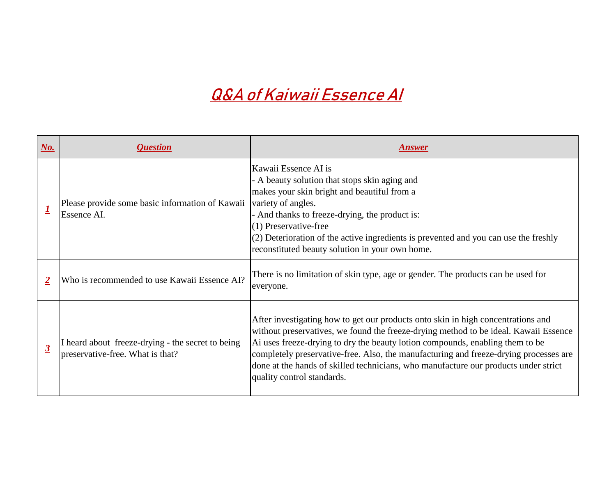| $N_o$ .                 | <i><b>Question</b></i>                                                                | <b>Answer</b>                                                                                                                                                                                                                                                                                                                   |
|-------------------------|---------------------------------------------------------------------------------------|---------------------------------------------------------------------------------------------------------------------------------------------------------------------------------------------------------------------------------------------------------------------------------------------------------------------------------|
|                         | Please provide some basic information of Kawaii<br>Essence AI.                        | Kawaii Essence AI is<br>- A beauty solution that stops skin aging and<br>makes your skin bright and beautiful from a<br>variety of angles.<br>- And thanks to freeze-drying, the product is:<br>(1) Preservative-free<br>(2) Deterioration of the active ingredients is prev<br>reconstituted beauty solution in your own home. |
| $\overline{2}$          | Who is recommended to use Kawaii Essence AI?                                          | There is no limitation of skin type, age or gender<br>everyone.                                                                                                                                                                                                                                                                 |
| $\overline{\mathbf{3}}$ | I heard about freeze-drying - the secret to being<br>preservative-free. What is that? | After investigating how to get our products onto<br>without preservatives, we found the freeze-dryin<br>Ai uses freeze-drying to dry the beauty lotion co<br>completely preservative-free. Also, the manufact<br>done at the hands of skilled technicians, who ma<br>quality control standards.                                 |

prevented and you can use the freshly

*a* nder. The products can be used for

Into skin in high concentrations and rying method to be ideal. Kawaii Essence- $\alpha$  compounds, enabling them to be afacturing and freeze-drying processes are manufacture our products under strict

## **Q&A of Kaiwaii Essence AI**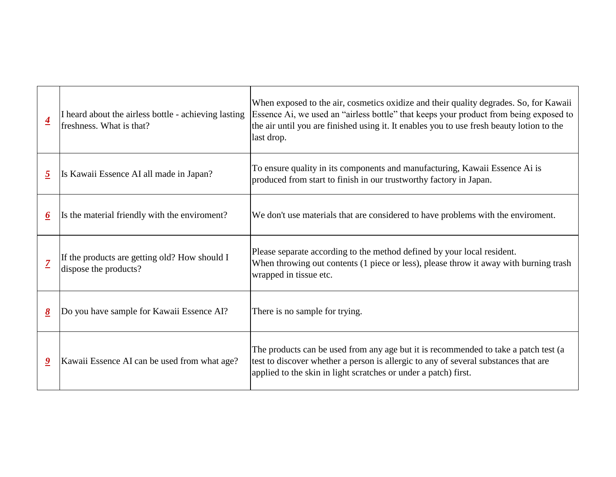| $\overline{\mathbf{4}}$              | I heard about the airless bottle - achieving lasting<br>freshness. What is that? | When exposed to the air, cosmetics oxidize a<br>Essence Ai, we used an "airless bottle" that k<br>the air until you are finished using it. It enabl<br>last drop. |
|--------------------------------------|----------------------------------------------------------------------------------|-------------------------------------------------------------------------------------------------------------------------------------------------------------------|
| $\overline{2}$                       | Is Kawaii Essence AI all made in Japan?                                          | To ensure quality in its components and man<br>produced from start to finish in our trustwort                                                                     |
| $\underline{6}$                      | Is the material friendly with the enviroment?                                    | We don't use materials that are considered to                                                                                                                     |
|                                      | If the products are getting old? How should I<br>dispose the products?           | Please separate according to the method defined<br>When throwing out contents (1 piece or less)<br>wrapped in tissue etc.                                         |
| $\underline{\underline{\mathbf{8}}}$ | Do you have sample for Kawaii Essence AI?                                        | There is no sample for trying.                                                                                                                                    |
| $\overline{\mathbf{2}}$              | Kawaii Essence AI can be used from what age?                                     | The products can be used from any age but it<br>test to discover whether a person is allergic to<br>applied to the skin in light scratches or under               |

and their quality degrades. So, for Kawaii keeps your product from being exposed to les you to use fresh beauty lotion to the

**nufacturing, Kawaii Essence Ai is** contacturing, Kawaii Essence Ai is thy factory in Japan.

have problems with the enviroment.

ned by your local resident. ), please throw it away with burning trash

is recommended to take a patch test (a to any of several substances that are a patch) first.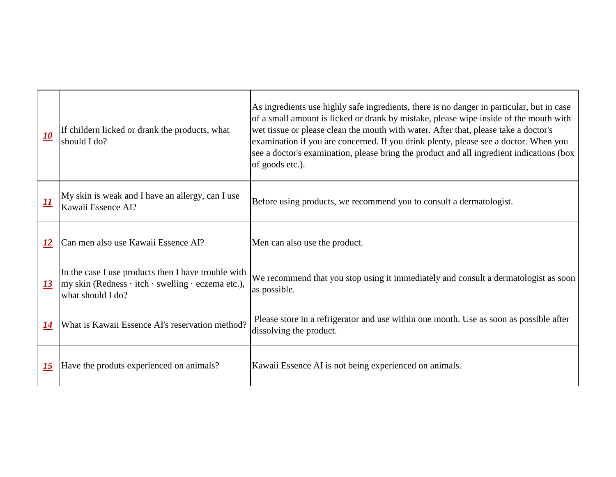| If childern licked or drank the products, what<br>should I do?                                                                         | As ingredients use highly safe ingredients, there is no da<br>of a small amount is licked or drank by mistake, please<br>wet tissue or please clean the mouth with water. After the<br>examination if you are concerned. If you drink plenty, pl<br>see a doctor's examination, please bring the product and<br>of goods etc.). |
|----------------------------------------------------------------------------------------------------------------------------------------|---------------------------------------------------------------------------------------------------------------------------------------------------------------------------------------------------------------------------------------------------------------------------------------------------------------------------------|
| My skin is weak and I have an allergy, can I use<br>Kawaii Essence AI?                                                                 | Before using products, we recommend you to consult a                                                                                                                                                                                                                                                                            |
| Can men also use Kawaii Essence AI?                                                                                                    | Men can also use the product.                                                                                                                                                                                                                                                                                                   |
| In the case I use products then I have trouble with<br>$\vert$ my skin (Redness · itch · swelling · eczema etc.),<br>what should I do? | We recommend that you stop using it immediately and c<br>as possible.                                                                                                                                                                                                                                                           |
| What is Kawaii Essence AI's reservation method?                                                                                        | Please store in a refrigerator and use within one month.<br>dissolving the product.                                                                                                                                                                                                                                             |
| Have the produts experienced on animals?                                                                                               | Kawaii Essence AI is not being experienced on animals.                                                                                                                                                                                                                                                                          |
|                                                                                                                                        |                                                                                                                                                                                                                                                                                                                                 |

here is no danger in particular, but in case ake, please wipe inside of the mouth with ter. After that, please take a doctor's. nk plenty, please see a doctor. When you product and all ingredient indications (box

ko consult a dermatologist.

liately and consult a dermatologist as soon

one month. Use as soon as possible after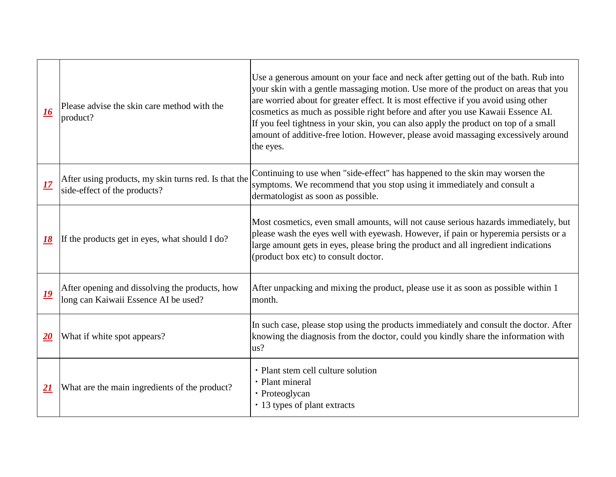| 16                        | Please advise the skin care method with the<br>product?                                | Use a generous amount on your face and nect<br>your skin with a gentle massaging motion. U<br>are worried about for greater effect. It is most<br>cosmetics as much as possible right before are<br>If you feel tightness in your skin, you can alse<br>amount of additive-free lotion. However, ple<br>the eyes. |
|---------------------------|----------------------------------------------------------------------------------------|-------------------------------------------------------------------------------------------------------------------------------------------------------------------------------------------------------------------------------------------------------------------------------------------------------------------|
| <u>17</u>                 | After using products, my skin turns red. Is that the<br>side-effect of the products?   | Continuing to use when "side-effect" has hap<br>symptoms. We recommend that you stop usin<br>dermatologist as soon as possible.                                                                                                                                                                                   |
| <u>18</u>                 | If the products get in eyes, what should I do?                                         | Most cosmetics, even small amounts, will no<br>please wash the eyes well with eyewash. How<br>large amount gets in eyes, please bring the pr<br>(product box etc) to consult doctor.                                                                                                                              |
| <u> 19</u>                | After opening and dissolving the products, how<br>long can Kaiwaii Essence AI be used? | After unpacking and mixing the product, plear-<br>month.                                                                                                                                                                                                                                                          |
| $\underline{\mathbf{20}}$ | What if white spot appears?                                                            | In such case, please stop using the products in<br>knowing the diagnosis from the doctor, could<br>$\text{us}2$                                                                                                                                                                                                   |
| <u> 21</u>                | What are the main ingredients of the product?                                          | • Plant stem cell culture solution<br>• Plant mineral<br>• Proteoglycan<br>• 13 types of plant extracts                                                                                                                                                                                                           |

k after getting out of the bath. Rub into Ise more of the product on areas that you art effective if you avoid using other nd after you use Kawaii Essence AI. If you apply the product on top of a small ase avoid massaging excessively around

pened to the skin may worsen the ng it immediately and consult a

ot cause serious hazards immediately, but wever, if pain or hyperemia persists or a roduct and all ingredient indications

ase use it as soon as possible within 1

immediately and consult the doctor. After d you kindly share the information with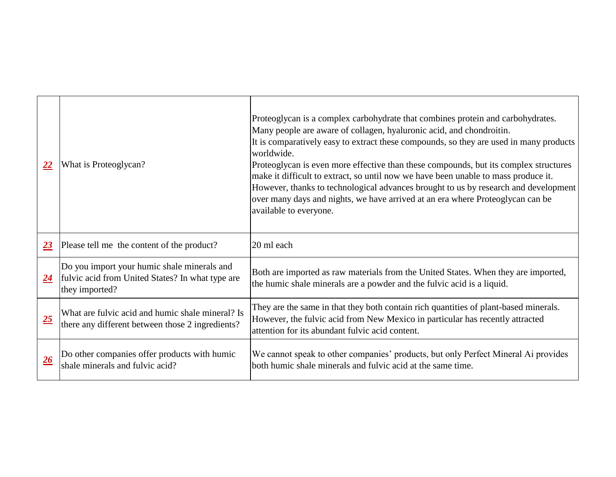| 22              | What is Proteoglycan?                                                                                             | Proteoglycan is a complex carbohydrate that<br>Many people are aware of collagen, hyaluron<br>It is comparatively easy to extract these comp<br>worldwide.<br>Proteoglycan is even more effective than thes<br>make it difficult to extract, so until now we h<br>However, thanks to technological advances b<br>over many days and nights, we have arrived a<br>available to everyone. |
|-----------------|-------------------------------------------------------------------------------------------------------------------|-----------------------------------------------------------------------------------------------------------------------------------------------------------------------------------------------------------------------------------------------------------------------------------------------------------------------------------------------------------------------------------------|
| $\overline{23}$ | Please tell me the content of the product?                                                                        | 20 ml each                                                                                                                                                                                                                                                                                                                                                                              |
| 24              | Do you import your humic shale minerals and<br>fulvic acid from United States? In what type are<br>they imported? | Both are imported as raw materials from the<br>the humic shale minerals are a powder and th                                                                                                                                                                                                                                                                                             |
| 25              | What are fulvic acid and humic shale mineral? Is<br>there any different between those 2 ingredients?              | They are the same in that they both contain ri<br>However, the fulvic acid from New Mexico i<br>attention for its abundant fulvic acid content.                                                                                                                                                                                                                                         |
| 26              | Do other companies offer products with humic<br>shale minerals and fulvic acid?                                   | We cannot speak to other companies' produc<br>both humic shale minerals and fulvic acid at                                                                                                                                                                                                                                                                                              |

combines protein and carbohydrates. hic acid, and chondroitin. pounds, so they are used in many products

se compounds, but its complex structures have been unable to mass produce it. brought to us by research and development at an era where Proteoglycan can be

United States. When they are imported, the fulvic acid is a liquid.

ich quantities of plant-based minerals. in particular has recently attracted

cts, but only Perfect Mineral Ai provides the same time.